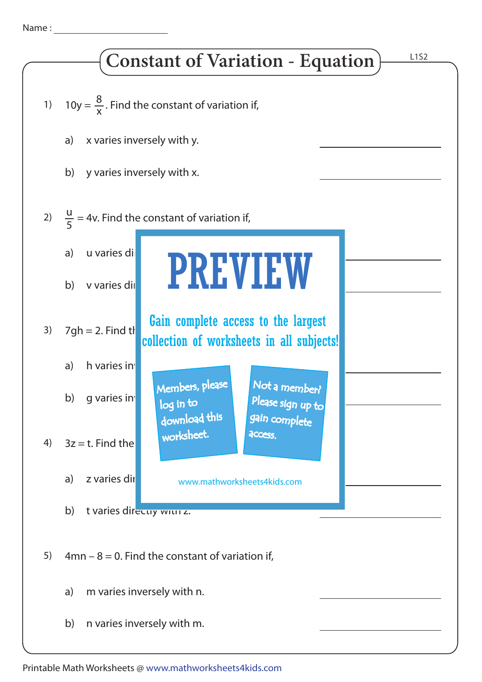